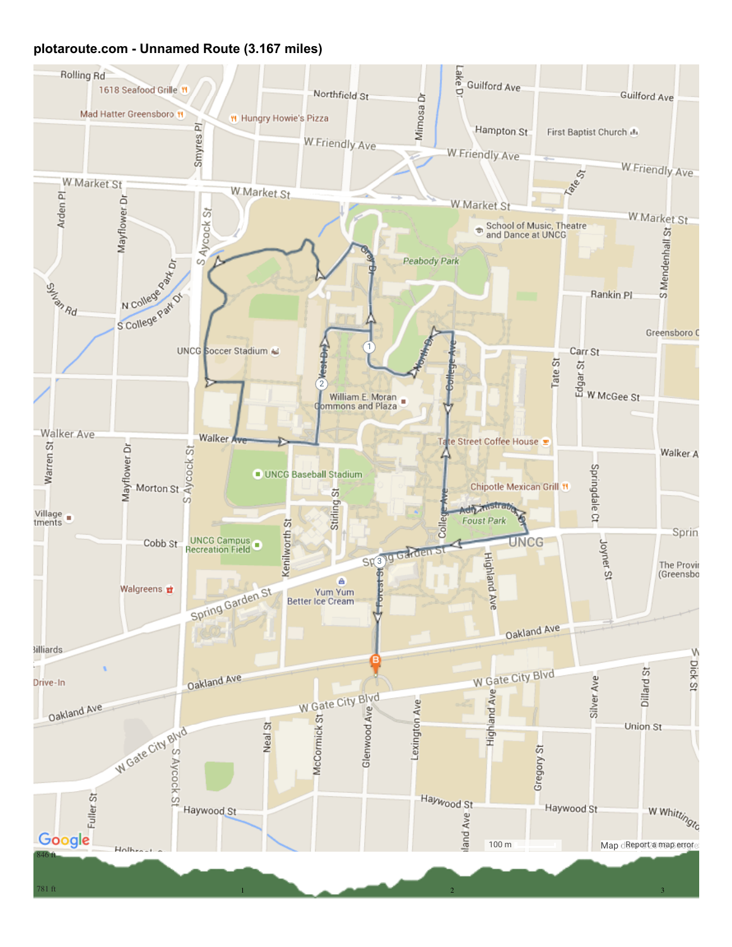## plotaroute.com - Unnamed Route (3.167 miles)